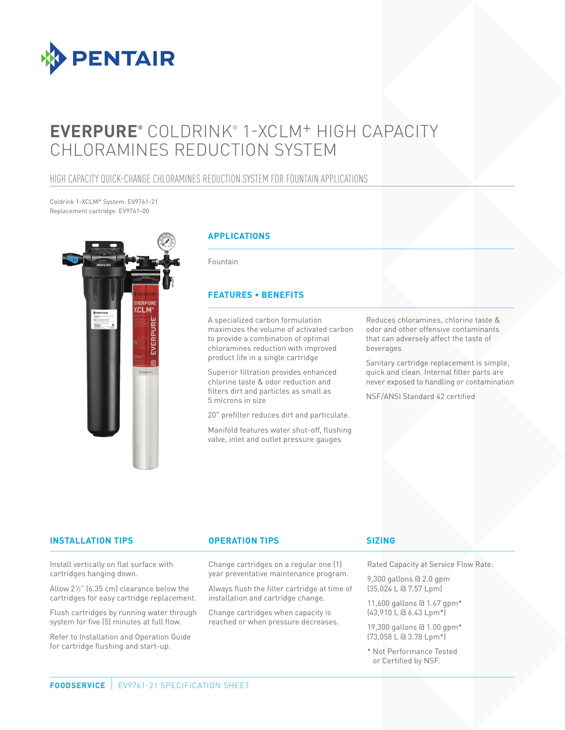

# **EVERPURE®** COLDRINK® 1-XCLM+ HIGH CAPACITY CHLORAMINES REDUCTION SYSTEM

# HIGH CAPACITY QUICK-CHANGE CHLORAMINES REDUCTION SYSTEM FOR FOUNTAIN APPLICATIONS

Coldrink 1-XCLM+ System: EV9761-21 Replacement cartridge: EV9761-00



#### **APPLICATIONS**

Fountain

#### **FEATURES • BENEFITS**

A specialized carbon formulation maximizes the volume of activated carbon to provide a combination of optimal chloramines reduction with improved product life in a single cartridge

Superior filtration provides enhanced chlorine taste & odor reduction and filters dirt and particles as small as 5 microns in size

20" prefilter reduces dirt and particulate.

Manifold features water shut-off, flushing valve, inlet and outlet pressure gauges

Reduces chloramines, chlorine taste & odor and other offensive contaminants that can adversely affect the taste of beverages

Sanitary cartridge replacement is simple, quick and clean. Internal filter parts are never exposed to handling or contamination

NSF/ANSI Standard 42 certified

#### **INSTALLATION TIPS OPERATION TIPS**

Install vertically on flat surface with cartridges hanging down.

Allow 21 ⁄2" (6.35 cm) clearance below the cartridges for easy cartridge replacement.

Flush cartridges by running water through system for five (5) minutes at full flow.

Refer to Installation and Operation Guide for cartridge flushing and start-up.

#### Change cartridges on a regular one (1) year preventative maintenance program.

Always flush the filter cartridge at time of installation and cartridge change.

Change cartridges when capacity is reached or when pressure decreases.

#### **SIZING**

Rated Capacity at Service Flow Rate:

9,300 gallons @ 2.0 gpm (35,024 L @ 7.57 Lpm)

11,600 gallons @ 1.67 gpm\* (43,910 L @ 6.43 Lpm\*)

19,300 gallons @ 1.00 gpm\* (73,058 L @ 3.78 Lpm\*)

\* Not Performance Tested or Certified by NSF.